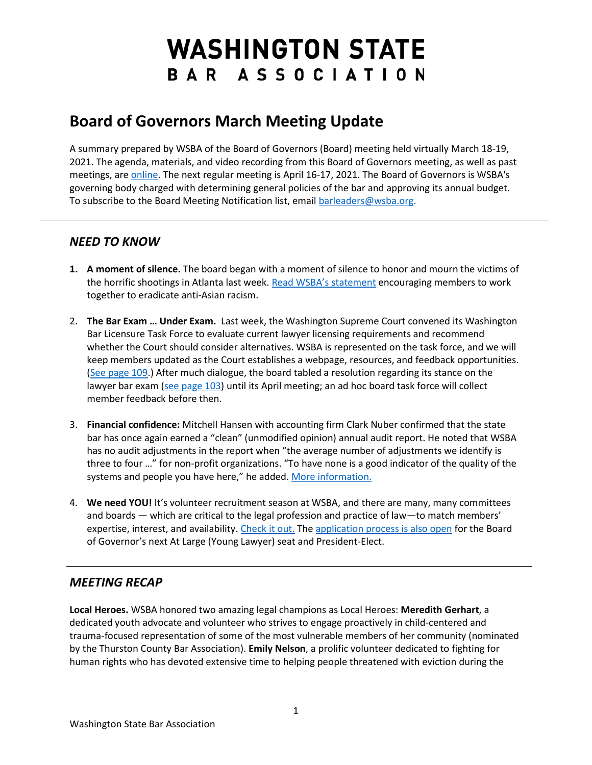# **WASHINGTON STATE** BAR ASSOCIATION

## **Board of Governors March Meeting Update**

A summary prepared by WSBA of the Board of Governors (Board) meeting held virtually March 18-19, 2021. The agenda, materials, and video recording from this Board of Governors meeting, as well as past meetings, ar[e online.](https://www.wsba.org/about-wsba/who-we-are/board-of-governors) The next regular meeting is April 16-17, 2021. The Board of Governors is WSBA's governing body charged with determining general policies of the bar and approving its annual budget. To subscribe to the Board Meeting Notification list, emai[l barleaders@wsba.org.](mailto:barleaders@wsba.org)

#### *NEED TO KNOW*

- **1. A moment of silence.** The board began with a moment of silence to honor and mourn the victims of the horrific shootings in Atlanta last week. [Read WSBA's statement](https://www.wsba.org/news-events/latest-news/news-detail/2021/03/24/wsba-leadership-condemns-escalating-violence-against-the-asian-american-pacific-islander-community) encouraging members to work together to eradicate anti-Asian racism.
- 2. **The Bar Exam … Under Exam.** Last week, the Washington Supreme Court convened its Washington Bar Licensure Task Force to evaluate current lawyer licensing requirements and recommend whether the Court should consider alternatives. WSBA is represented on the task force, and we will keep members updated as the Court establishes a webpage, resources, and feedback opportunities. [\(See page 109.](https://www.wsba.org/docs/default-source/about-wsba/governance/bog-meeting-materials-2000-2001/board-of-governors-meeting-materials-march-2021.pdf?sfvrsn=891915f1_4)) After much dialogue, the board tabled a resolution regarding its stance on the lawyer bar exam [\(see page 103\)](https://www.wsba.org/docs/default-source/about-wsba/governance/bog-meeting-materials-2000-2001/board-of-governors-meeting-materials-march-2021.pdf?sfvrsn=891915f1_4) until its April meeting; an ad hoc board task force will collect member feedback before then.
- 3. **Financial confidence:** Mitchell Hansen with accounting firm Clark Nuber confirmed that the state bar has once again earned a "clean" (unmodified opinion) annual audit report. He noted that WSBA has no audit adjustments in the report when "the average number of adjustments we identify is three to four …" for non-profit organizations. "To have none is a good indicator of the quality of the systems and people you have here," he added[. More information.](https://www.wsba.org/about-wsba/finances)
- 4. **We need YOU!** It's volunteer recruitment season at WSBA, and there are many, many committees and boards — which are critical to the legal profession and practice of law—to match members' expertise, interest, and availability. [Check it out.](https://www.wsba.org/connect-serve/volunteer-opportunities) Th[e application process is also open](https://www.wsba.org/about-wsba/who-we-are/board-elections) for the Board of Governor's next At Large (Young Lawyer) seat and President-Elect.

### *MEETING RECAP*

**Local Heroes.** WSBA honored two amazing legal champions as Local Heroes: **Meredith Gerhart**, a dedicated youth advocate and volunteer who strives to engage proactively in child-centered and trauma-focused representation of some of the most vulnerable members of her community (nominated by the Thurston County Bar Association). **Emily Nelson**, a prolific volunteer dedicated to fighting for human rights who has devoted extensive time to helping people threatened with eviction during the